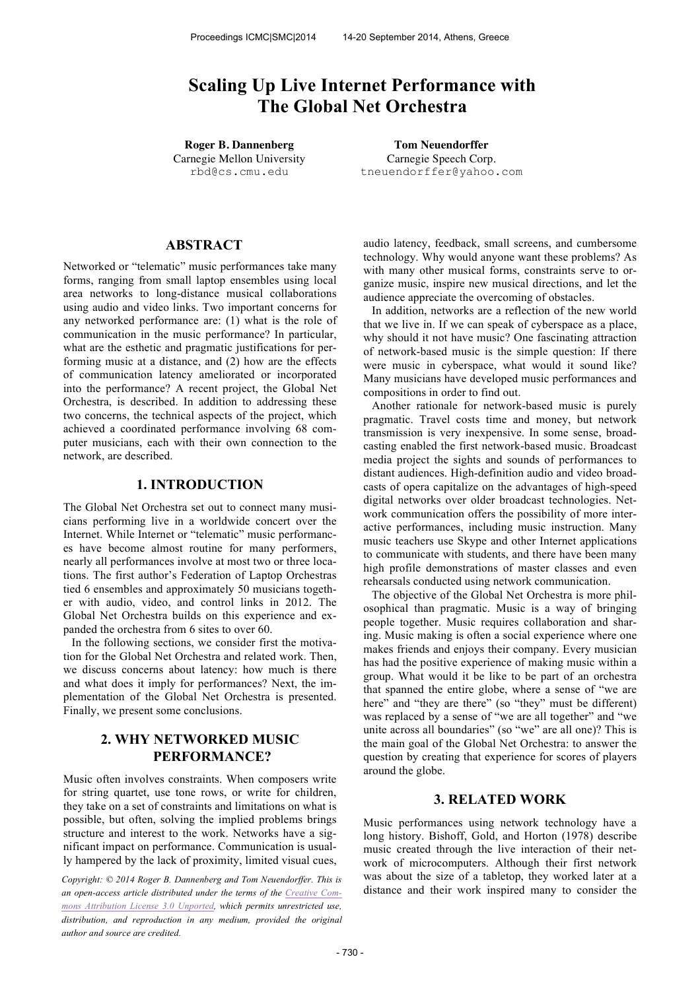Carnegie Speech Corp. tneuendorffer@yahoo.com

# **Scaling Up Live Internet Performance with The Global Net Orchestra**

**Roger B. Dannenberg Tom Neuendorffer** Carnegie Mellon University rbd@cs.cmu.edu

# **ABSTRACT**

Networked or "telematic" music performances take many forms, ranging from small laptop ensembles using local area networks to long-distance musical collaborations using audio and video links. Two important concerns for any networked performance are: (1) what is the role of communication in the music performance? In particular, what are the esthetic and pragmatic justifications for performing music at a distance, and (2) how are the effects of communication latency ameliorated or incorporated into the performance? A recent project, the Global Net Orchestra, is described. In addition to addressing these two concerns, the technical aspects of the project, which achieved a coordinated performance involving 68 computer musicians, each with their own connection to the network, are described.

# **1. INTRODUCTION**

The Global Net Orchestra set out to connect many musicians performing live in a worldwide concert over the Internet. While Internet or "telematic" music performances have become almost routine for many performers, nearly all performances involve at most two or three locations. The first author's Federation of Laptop Orchestras tied 6 ensembles and approximately 50 musicians together with audio, video, and control links in 2012. The Global Net Orchestra builds on this experience and expanded the orchestra from 6 sites to over 60.

In the following sections, we consider first the motivation for the Global Net Orchestra and related work. Then, we discuss concerns about latency: how much is there and what does it imply for performances? Next, the implementation of the Global Net Orchestra is presented. Finally, we present some conclusions.

# **2. WHY NETWORKED MUSIC PERFORMANCE?**

Music often involves constraints. When composers write for string quartet, use tone rows, or write for children, they take on a set of constraints and limitations on what is possible, but often, solving the implied problems brings structure and interest to the work. Networks have a significant impact on performance. Communication is usually hampered by the lack of proximity, limited visual cues,

*Copyright: © 2014 Roger B. Dannenberg and Tom Neuendorffer. This is an open-access article distributed under the terms of the Creative Commons Attribution License 3.0 Unported, which permits unrestricted use, distribution, and reproduction in any medium, provided the original author and source are credited.*

audio latency, feedback, small screens, and cumbersome technology. Why would anyone want these problems? As with many other musical forms, constraints serve to organize music, inspire new musical directions, and let the audience appreciate the overcoming of obstacles.

In addition, networks are a reflection of the new world that we live in. If we can speak of cyberspace as a place, why should it not have music? One fascinating attraction of network-based music is the simple question: If there were music in cyberspace, what would it sound like? Many musicians have developed music performances and compositions in order to find out.

Another rationale for network-based music is purely pragmatic. Travel costs time and money, but network transmission is very inexpensive. In some sense, broadcasting enabled the first network-based music. Broadcast media project the sights and sounds of performances to distant audiences. High-definition audio and video broadcasts of opera capitalize on the advantages of high-speed digital networks over older broadcast technologies. Network communication offers the possibility of more interactive performances, including music instruction. Many music teachers use Skype and other Internet applications to communicate with students, and there have been many high profile demonstrations of master classes and even rehearsals conducted using network communication.

The objective of the Global Net Orchestra is more philosophical than pragmatic. Music is a way of bringing people together. Music requires collaboration and sharing. Music making is often a social experience where one makes friends and enjoys their company. Every musician has had the positive experience of making music within a group. What would it be like to be part of an orchestra that spanned the entire globe, where a sense of "we are here" and "they are there" (so "they" must be different) was replaced by a sense of "we are all together" and "we unite across all boundaries" (so "we" are all one)? This is the main goal of the Global Net Orchestra: to answer the question by creating that experience for scores of players around the globe.

# **3. RELATED WORK**

Music performances using network technology have a long history. Bishoff, Gold, and Horton (1978) describe music created through the live interaction of their network of microcomputers. Although their first network was about the size of a tabletop, they worked later at a distance and their work inspired many to consider the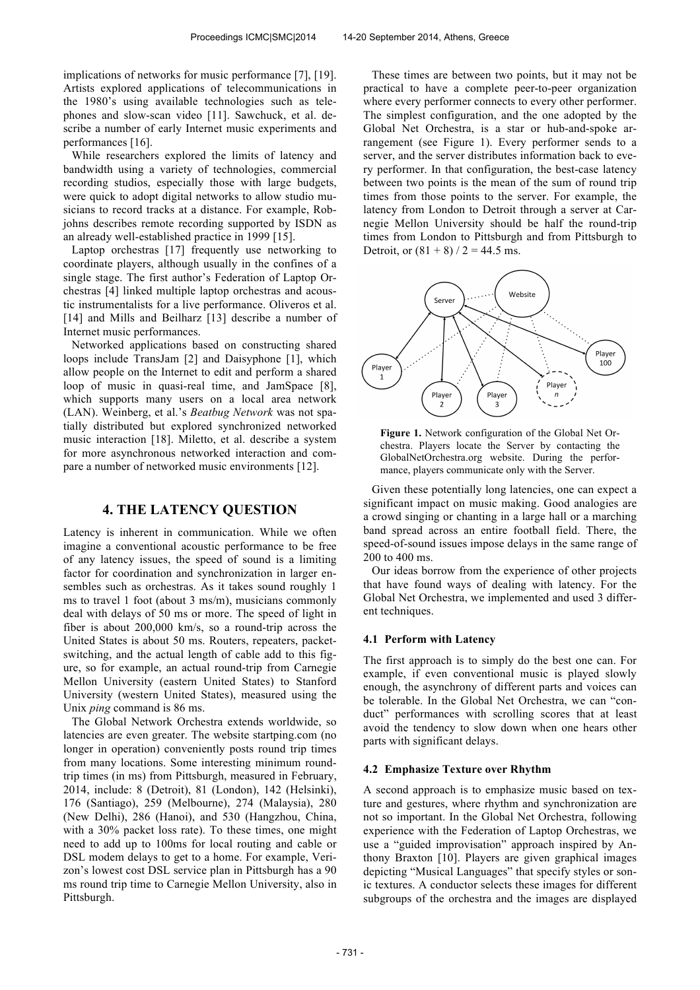implications of networks for music performance [7], [19]. Artists explored applications of telecommunications in the 1980's using available technologies such as telephones and slow-scan video [11]. Sawchuck, et al. describe a number of early Internet music experiments and performances [16].

While researchers explored the limits of latency and bandwidth using a variety of technologies, commercial recording studios, especially those with large budgets, were quick to adopt digital networks to allow studio musicians to record tracks at a distance. For example, Robjohns describes remote recording supported by ISDN as an already well-established practice in 1999 [15].

Laptop orchestras [17] frequently use networking to coordinate players, although usually in the confines of a single stage. The first author's Federation of Laptop Orchestras [4] linked multiple laptop orchestras and acoustic instrumentalists for a live performance. Oliveros et al. [14] and Mills and Beilharz [13] describe a number of Internet music performances.

Networked applications based on constructing shared loops include TransJam [2] and Daisyphone [1], which allow people on the Internet to edit and perform a shared loop of music in quasi-real time, and JamSpace [8], which supports many users on a local area network (LAN). Weinberg, et al.'s *Beatbug Network* was not spatially distributed but explored synchronized networked music interaction [18]. Miletto, et al. describe a system for more asynchronous networked interaction and compare a number of networked music environments [12].

# **4. THE LATENCY QUESTION**

Latency is inherent in communication. While we often imagine a conventional acoustic performance to be free of any latency issues, the speed of sound is a limiting factor for coordination and synchronization in larger ensembles such as orchestras. As it takes sound roughly 1 ms to travel 1 foot (about 3 ms/m), musicians commonly deal with delays of 50 ms or more. The speed of light in fiber is about 200,000 km/s, so a round-trip across the United States is about 50 ms. Routers, repeaters, packetswitching, and the actual length of cable add to this figure, so for example, an actual round-trip from Carnegie Mellon University (eastern United States) to Stanford University (western United States), measured using the Unix *ping* command is 86 ms.

The Global Network Orchestra extends worldwide, so latencies are even greater. The website startping.com (no longer in operation) conveniently posts round trip times from many locations. Some interesting minimum roundtrip times (in ms) from Pittsburgh, measured in February, 2014, include: 8 (Detroit), 81 (London), 142 (Helsinki), 176 (Santiago), 259 (Melbourne), 274 (Malaysia), 280 (New Delhi), 286 (Hanoi), and 530 (Hangzhou, China, with a 30% packet loss rate). To these times, one might need to add up to 100ms for local routing and cable or DSL modem delays to get to a home. For example, Verizon's lowest cost DSL service plan in Pittsburgh has a 90 ms round trip time to Carnegie Mellon University, also in Pittsburgh.

These times are between two points, but it may not be practical to have a complete peer-to-peer organization where every performer connects to every other performer. The simplest configuration, and the one adopted by the Global Net Orchestra, is a star or hub-and-spoke arrangement (see Figure 1). Every performer sends to a server, and the server distributes information back to every performer. In that configuration, the best-case latency between two points is the mean of the sum of round trip times from those points to the server. For example, the latency from London to Detroit through a server at Carnegie Mellon University should be half the round-trip times from London to Pittsburgh and from Pittsburgh to Detroit, or  $(81 + 8) / 2 = 44.5$  ms.



**Figure 1.** Network configuration of the Global Net Orchestra. Players locate the Server by contacting the GlobalNetOrchestra.org website. During the performance, players communicate only with the Server.

Given these potentially long latencies, one can expect a significant impact on music making. Good analogies are a crowd singing or chanting in a large hall or a marching band spread across an entire football field. There, the speed-of-sound issues impose delays in the same range of 200 to 400 ms.

Our ideas borrow from the experience of other projects that have found ways of dealing with latency. For the Global Net Orchestra, we implemented and used 3 different techniques.

#### **4.1 Perform with Latency**

The first approach is to simply do the best one can. For example, if even conventional music is played slowly enough, the asynchrony of different parts and voices can be tolerable. In the Global Net Orchestra, we can "conduct" performances with scrolling scores that at least avoid the tendency to slow down when one hears other parts with significant delays.

#### **4.2 Emphasize Texture over Rhythm**

A second approach is to emphasize music based on texture and gestures, where rhythm and synchronization are not so important. In the Global Net Orchestra, following experience with the Federation of Laptop Orchestras, we use a "guided improvisation" approach inspired by Anthony Braxton [10]. Players are given graphical images depicting "Musical Languages" that specify styles or sonic textures. A conductor selects these images for different subgroups of the orchestra and the images are displayed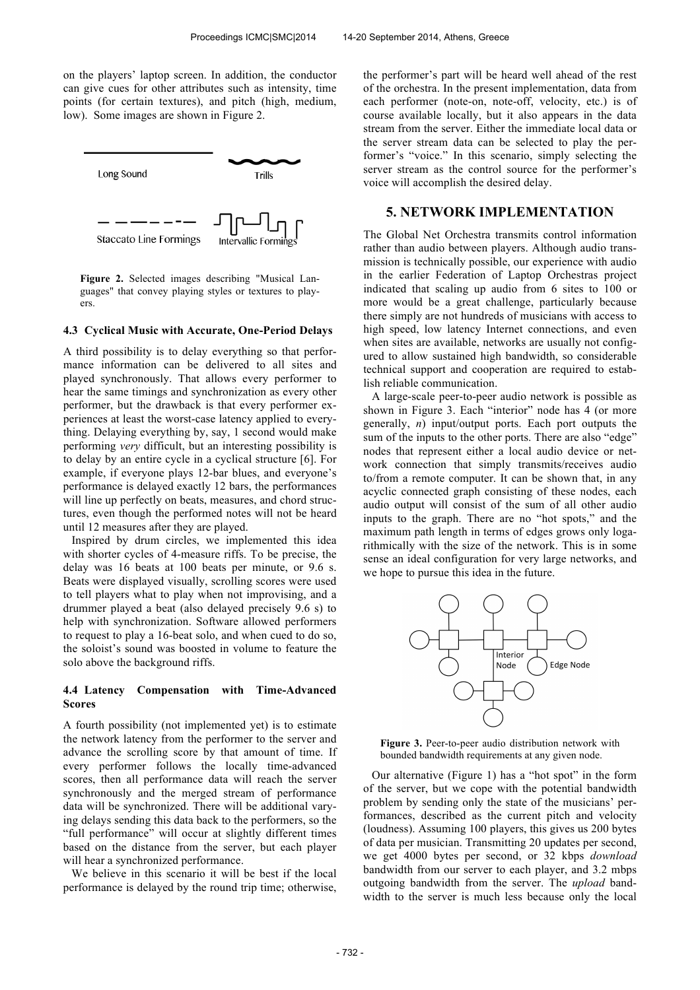on the players' laptop screen. In addition, the conductor can give cues for other attributes such as intensity, time points (for certain textures), and pitch (high, medium, low). Some images are shown in Figure 2.



**Figure 2.** Selected images describing "Musical Languages" that convey playing styles or textures to players.

#### **4.3 Cyclical Music with Accurate, One-Period Delays**

A third possibility is to delay everything so that performance information can be delivered to all sites and played synchronously. That allows every performer to hear the same timings and synchronization as every other performer, but the drawback is that every performer experiences at least the worst-case latency applied to everything. Delaying everything by, say, 1 second would make performing *very* difficult, but an interesting possibility is to delay by an entire cycle in a cyclical structure [6]. For example, if everyone plays 12-bar blues, and everyone's performance is delayed exactly 12 bars, the performances will line up perfectly on beats, measures, and chord structures, even though the performed notes will not be heard until 12 measures after they are played.

Inspired by drum circles, we implemented this idea with shorter cycles of 4-measure riffs. To be precise, the delay was 16 beats at 100 beats per minute, or 9.6 s. Beats were displayed visually, scrolling scores were used to tell players what to play when not improvising, and a drummer played a beat (also delayed precisely 9.6 s) to help with synchronization. Software allowed performers to request to play a 16-beat solo, and when cued to do so, the soloist's sound was boosted in volume to feature the solo above the background riffs.

#### **4.4 Latency Compensation with Time-Advanced Scores**

A fourth possibility (not implemented yet) is to estimate the network latency from the performer to the server and advance the scrolling score by that amount of time. If every performer follows the locally time-advanced scores, then all performance data will reach the server synchronously and the merged stream of performance data will be synchronized. There will be additional varying delays sending this data back to the performers, so the "full performance" will occur at slightly different times based on the distance from the server, but each player will hear a synchronized performance.

We believe in this scenario it will be best if the local performance is delayed by the round trip time; otherwise, the performer's part will be heard well ahead of the rest of the orchestra. In the present implementation, data from each performer (note-on, note-off, velocity, etc.) is of course available locally, but it also appears in the data stream from the server. Either the immediate local data or the server stream data can be selected to play the performer's "voice." In this scenario, simply selecting the server stream as the control source for the performer's voice will accomplish the desired delay.

# **5. NETWORK IMPLEMENTATION**

The Global Net Orchestra transmits control information rather than audio between players. Although audio transmission is technically possible, our experience with audio in the earlier Federation of Laptop Orchestras project indicated that scaling up audio from 6 sites to 100 or more would be a great challenge, particularly because there simply are not hundreds of musicians with access to high speed, low latency Internet connections, and even when sites are available, networks are usually not configured to allow sustained high bandwidth, so considerable technical support and cooperation are required to establish reliable communication.

A large-scale peer-to-peer audio network is possible as shown in Figure 3. Each "interior" node has 4 (or more generally, *n*) input/output ports. Each port outputs the sum of the inputs to the other ports. There are also "edge" nodes that represent either a local audio device or network connection that simply transmits/receives audio to/from a remote computer. It can be shown that, in any acyclic connected graph consisting of these nodes, each audio output will consist of the sum of all other audio inputs to the graph. There are no "hot spots," and the maximum path length in terms of edges grows only logarithmically with the size of the network. This is in some sense an ideal configuration for very large networks, and we hope to pursue this idea in the future.



**Figure 3.** Peer-to-peer audio distribution network with bounded bandwidth requirements at any given node.

Our alternative (Figure 1) has a "hot spot" in the form of the server, but we cope with the potential bandwidth problem by sending only the state of the musicians' performances, described as the current pitch and velocity (loudness). Assuming 100 players, this gives us 200 bytes of data per musician. Transmitting 20 updates per second, we get 4000 bytes per second, or 32 kbps *download* bandwidth from our server to each player, and 3.2 mbps outgoing bandwidth from the server. The *upload* bandwidth to the server is much less because only the local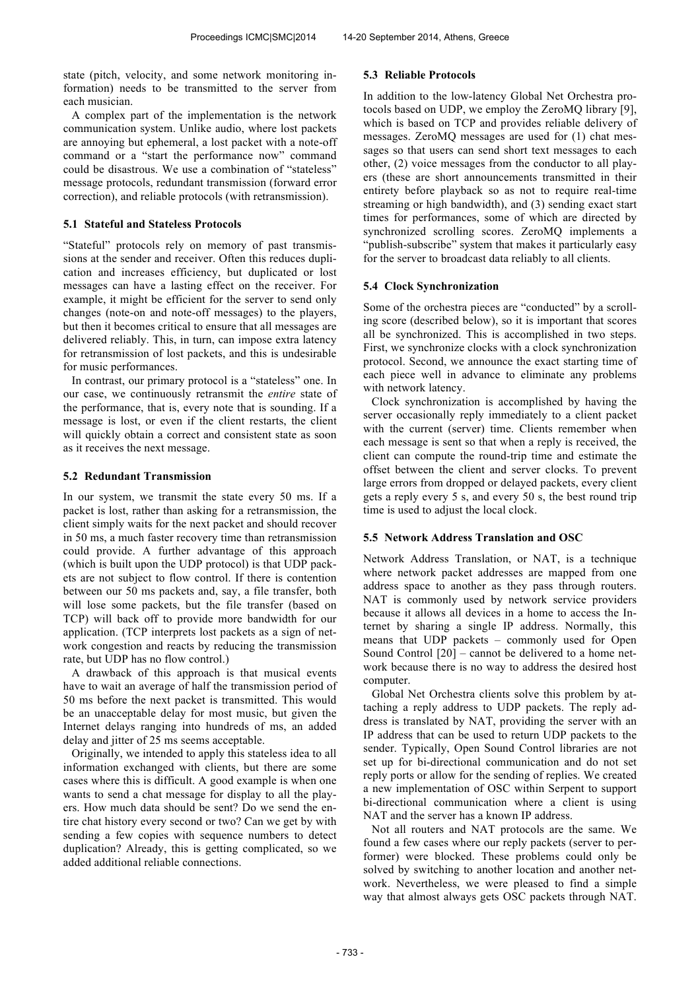state (pitch, velocity, and some network monitoring information) needs to be transmitted to the server from each musician.

A complex part of the implementation is the network communication system. Unlike audio, where lost packets are annoying but ephemeral, a lost packet with a note-off command or a "start the performance now" command could be disastrous. We use a combination of "stateless" message protocols, redundant transmission (forward error correction), and reliable protocols (with retransmission).

#### **5.1 Stateful and Stateless Protocols**

"Stateful" protocols rely on memory of past transmissions at the sender and receiver. Often this reduces duplication and increases efficiency, but duplicated or lost messages can have a lasting effect on the receiver. For example, it might be efficient for the server to send only changes (note-on and note-off messages) to the players, but then it becomes critical to ensure that all messages are delivered reliably. This, in turn, can impose extra latency for retransmission of lost packets, and this is undesirable for music performances.

In contrast, our primary protocol is a "stateless" one. In our case, we continuously retransmit the *entire* state of the performance, that is, every note that is sounding. If a message is lost, or even if the client restarts, the client will quickly obtain a correct and consistent state as soon as it receives the next message.

#### **5.2 Redundant Transmission**

In our system, we transmit the state every 50 ms. If a packet is lost, rather than asking for a retransmission, the client simply waits for the next packet and should recover in 50 ms, a much faster recovery time than retransmission could provide. A further advantage of this approach (which is built upon the UDP protocol) is that UDP packets are not subject to flow control. If there is contention between our 50 ms packets and, say, a file transfer, both will lose some packets, but the file transfer (based on TCP) will back off to provide more bandwidth for our application. (TCP interprets lost packets as a sign of network congestion and reacts by reducing the transmission rate, but UDP has no flow control.)

A drawback of this approach is that musical events have to wait an average of half the transmission period of 50 ms before the next packet is transmitted. This would be an unacceptable delay for most music, but given the Internet delays ranging into hundreds of ms, an added delay and jitter of 25 ms seems acceptable.

Originally, we intended to apply this stateless idea to all information exchanged with clients, but there are some cases where this is difficult. A good example is when one wants to send a chat message for display to all the players. How much data should be sent? Do we send the entire chat history every second or two? Can we get by with sending a few copies with sequence numbers to detect duplication? Already, this is getting complicated, so we added additional reliable connections.

#### **5.3 Reliable Protocols**

In addition to the low-latency Global Net Orchestra protocols based on UDP, we employ the ZeroMQ library [9], which is based on TCP and provides reliable delivery of messages. ZeroMQ messages are used for (1) chat messages so that users can send short text messages to each other, (2) voice messages from the conductor to all players (these are short announcements transmitted in their entirety before playback so as not to require real-time streaming or high bandwidth), and (3) sending exact start times for performances, some of which are directed by synchronized scrolling scores. ZeroMQ implements a "publish-subscribe" system that makes it particularly easy for the server to broadcast data reliably to all clients.

### **5.4 Clock Synchronization**

Some of the orchestra pieces are "conducted" by a scrolling score (described below), so it is important that scores all be synchronized. This is accomplished in two steps. First, we synchronize clocks with a clock synchronization protocol. Second, we announce the exact starting time of each piece well in advance to eliminate any problems with network latency.

Clock synchronization is accomplished by having the server occasionally reply immediately to a client packet with the current (server) time. Clients remember when each message is sent so that when a reply is received, the client can compute the round-trip time and estimate the offset between the client and server clocks. To prevent large errors from dropped or delayed packets, every client gets a reply every 5 s, and every 50 s, the best round trip time is used to adjust the local clock.

### **5.5 Network Address Translation and OSC**

Network Address Translation, or NAT, is a technique where network packet addresses are mapped from one address space to another as they pass through routers. NAT is commonly used by network service providers because it allows all devices in a home to access the Internet by sharing a single IP address. Normally, this means that UDP packets – commonly used for Open Sound Control [20] – cannot be delivered to a home network because there is no way to address the desired host computer.

Global Net Orchestra clients solve this problem by attaching a reply address to UDP packets. The reply address is translated by NAT, providing the server with an IP address that can be used to return UDP packets to the sender. Typically, Open Sound Control libraries are not set up for bi-directional communication and do not set reply ports or allow for the sending of replies. We created a new implementation of OSC within Serpent to support bi-directional communication where a client is using NAT and the server has a known IP address.

Not all routers and NAT protocols are the same. We found a few cases where our reply packets (server to performer) were blocked. These problems could only be solved by switching to another location and another network. Nevertheless, we were pleased to find a simple way that almost always gets OSC packets through NAT.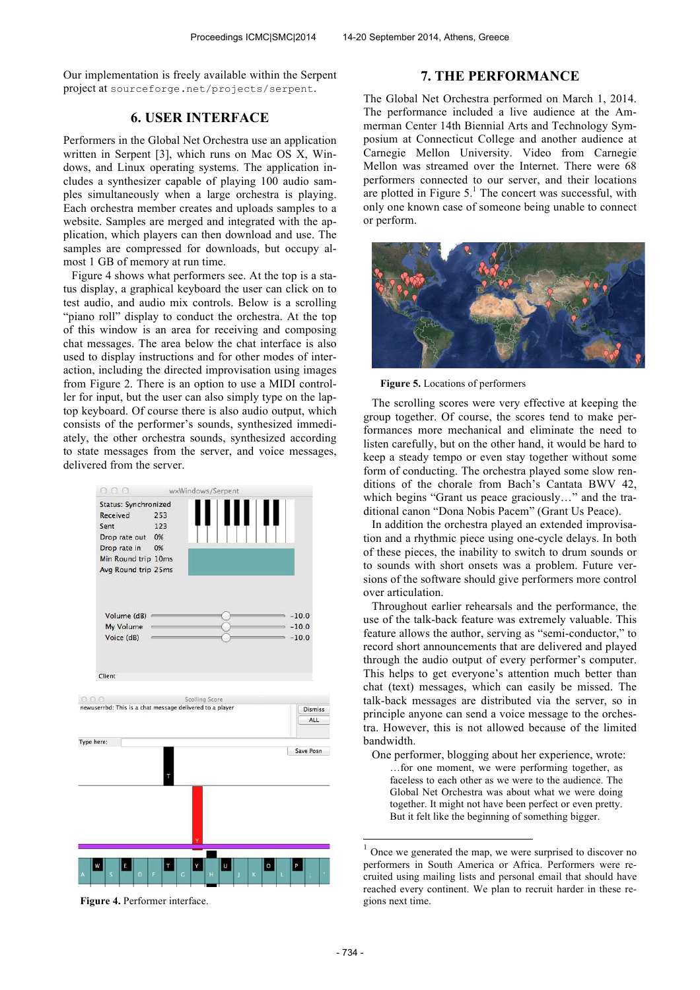Our implementation is freely available within the Serpent project at sourceforge.net/projects/serpent.

### **6. USER INTERFACE**

Performers in the Global Net Orchestra use an application written in Serpent [3], which runs on Mac OS X, Windows, and Linux operating systems. The application includes a synthesizer capable of playing 100 audio samples simultaneously when a large orchestra is playing. Each orchestra member creates and uploads samples to a website. Samples are merged and integrated with the application, which players can then download and use. The samples are compressed for downloads, but occupy almost 1 GB of memory at run time.

Figure 4 shows what performers see. At the top is a status display, a graphical keyboard the user can click on to test audio, and audio mix controls. Below is a scrolling "piano roll" display to conduct the orchestra. At the top of this window is an area for receiving and composing chat messages. The area below the chat interface is also used to display instructions and for other modes of interaction, including the directed improvisation using images from Figure 2. There is an option to use a MIDI controller for input, but the user can also simply type on the laptop keyboard. Of course there is also audio output, which consists of the performer's sounds, synthesized immediately, the other orchestra sounds, synthesized according to state messages from the server, and voice messages, delivered from the server.



**Figure 4.** Performer interface.

### **7. THE PERFORMANCE**

The Global Net Orchestra performed on March 1, 2014. The performance included a live audience at the Ammerman Center 14th Biennial Arts and Technology Symposium at Connecticut College and another audience at Carnegie Mellon University. Video from Carnegie Mellon was streamed over the Internet. There were 68 performers connected to our server, and their locations are plotted in Figure 5.<sup>1</sup> The concert was successful, with only one known case of someone being unable to connect or perform.



**Figure 5.** Locations of performers

The scrolling scores were very effective at keeping the group together. Of course, the scores tend to make performances more mechanical and eliminate the need to listen carefully, but on the other hand, it would be hard to keep a steady tempo or even stay together without some form of conducting. The orchestra played some slow renditions of the chorale from Bach's Cantata BWV 42, which begins "Grant us peace graciously…" and the traditional canon "Dona Nobis Pacem" (Grant Us Peace).

In addition the orchestra played an extended improvisation and a rhythmic piece using one-cycle delays. In both of these pieces, the inability to switch to drum sounds or to sounds with short onsets was a problem. Future versions of the software should give performers more control over articulation.

Throughout earlier rehearsals and the performance, the use of the talk-back feature was extremely valuable. This feature allows the author, serving as "semi-conductor," to record short announcements that are delivered and played through the audio output of every performer's computer. This helps to get everyone's attention much better than chat (text) messages, which can easily be missed. The talk-back messages are distributed via the server, so in principle anyone can send a voice message to the orchestra. However, this is not allowed because of the limited bandwidth.

One performer, blogging about her experience, wrote: …for one moment, we were performing together, as faceless to each other as we were to the audience. The Global Net Orchestra was about what we were doing together. It might not have been perfect or even pretty. But it felt like the beginning of something bigger.

-

 $1$  Once we generated the map, we were surprised to discover no performers in South America or Africa. Performers were recruited using mailing lists and personal email that should have reached every continent. We plan to recruit harder in these regions next time.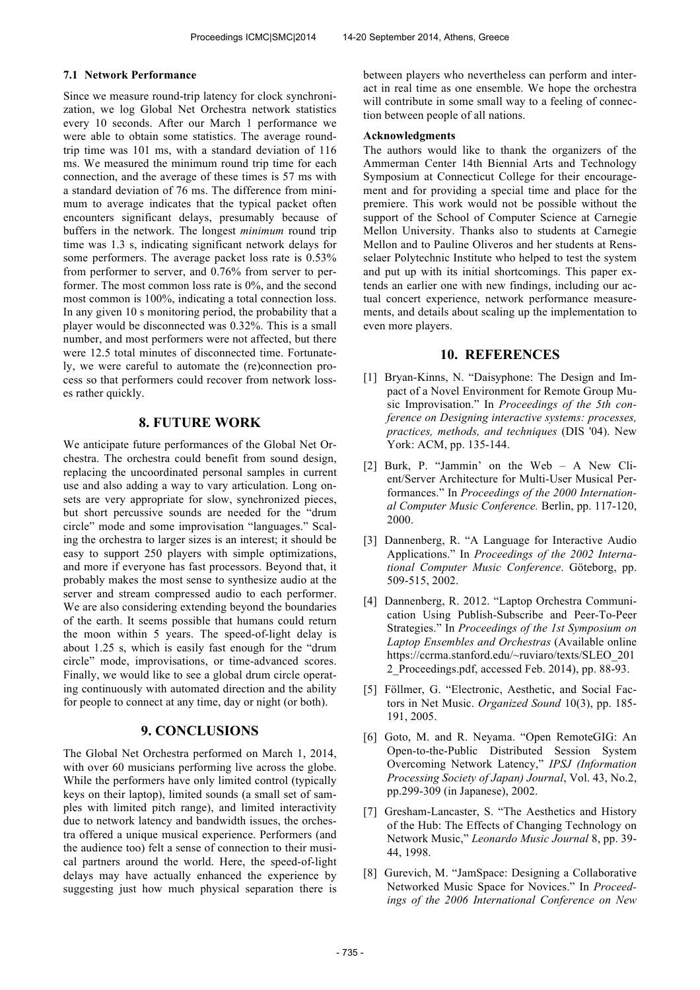#### **7.1 Network Performance**

Since we measure round-trip latency for clock synchronization, we log Global Net Orchestra network statistics every 10 seconds. After our March 1 performance we were able to obtain some statistics. The average roundtrip time was 101 ms, with a standard deviation of 116 ms. We measured the minimum round trip time for each connection, and the average of these times is 57 ms with a standard deviation of 76 ms. The difference from minimum to average indicates that the typical packet often encounters significant delays, presumably because of buffers in the network. The longest *minimum* round trip time was 1.3 s, indicating significant network delays for some performers. The average packet loss rate is 0.53% from performer to server, and 0.76% from server to performer. The most common loss rate is 0%, and the second most common is 100%, indicating a total connection loss. In any given 10 s monitoring period, the probability that a player would be disconnected was 0.32%. This is a small number, and most performers were not affected, but there were 12.5 total minutes of disconnected time. Fortunately, we were careful to automate the (re)connection process so that performers could recover from network losses rather quickly.

# **8. FUTURE WORK**

We anticipate future performances of the Global Net Orchestra. The orchestra could benefit from sound design, replacing the uncoordinated personal samples in current use and also adding a way to vary articulation. Long onsets are very appropriate for slow, synchronized pieces, but short percussive sounds are needed for the "drum circle" mode and some improvisation "languages." Scaling the orchestra to larger sizes is an interest; it should be easy to support 250 players with simple optimizations, and more if everyone has fast processors. Beyond that, it probably makes the most sense to synthesize audio at the server and stream compressed audio to each performer. We are also considering extending beyond the boundaries of the earth. It seems possible that humans could return the moon within 5 years. The speed-of-light delay is about 1.25 s, which is easily fast enough for the "drum circle" mode, improvisations, or time-advanced scores. Finally, we would like to see a global drum circle operating continuously with automated direction and the ability for people to connect at any time, day or night (or both).

# **9. CONCLUSIONS**

The Global Net Orchestra performed on March 1, 2014, with over 60 musicians performing live across the globe. While the performers have only limited control (typically keys on their laptop), limited sounds (a small set of samples with limited pitch range), and limited interactivity due to network latency and bandwidth issues, the orchestra offered a unique musical experience. Performers (and the audience too) felt a sense of connection to their musical partners around the world. Here, the speed-of-light delays may have actually enhanced the experience by suggesting just how much physical separation there is between players who nevertheless can perform and interact in real time as one ensemble. We hope the orchestra will contribute in some small way to a feeling of connection between people of all nations.

#### **Acknowledgments**

The authors would like to thank the organizers of the Ammerman Center 14th Biennial Arts and Technology Symposium at Connecticut College for their encouragement and for providing a special time and place for the premiere. This work would not be possible without the support of the School of Computer Science at Carnegie Mellon University. Thanks also to students at Carnegie Mellon and to Pauline Oliveros and her students at Rensselaer Polytechnic Institute who helped to test the system and put up with its initial shortcomings. This paper extends an earlier one with new findings, including our actual concert experience, network performance measurements, and details about scaling up the implementation to even more players.

### **10. REFERENCES**

- [1] Bryan-Kinns, N. "Daisyphone: The Design and Impact of a Novel Environment for Remote Group Music Improvisation." In *Proceedings of the 5th conference on Designing interactive systems: processes, practices, methods, and techniques* (DIS '04). New York: ACM, pp. 135-144.
- [2] Burk, P. "Jammin' on the Web A New Client/Server Architecture for Multi-User Musical Performances." In *Proceedings of the 2000 International Computer Music Conference.* Berlin, pp. 117-120, 2000.
- [3] Dannenberg, R. "A Language for Interactive Audio Applications." In *Proceedings of the 2002 International Computer Music Conference*. Göteborg, pp. 509-515, 2002.
- [4] Dannenberg, R. 2012. "Laptop Orchestra Communication Using Publish-Subscribe and Peer-To-Peer Strategies." In *Proceedings of the 1st Symposium on Laptop Ensembles and Orchestras* (Available online https://ccrma.stanford.edu/~ruviaro/texts/SLEO\_201 2\_Proceedings.pdf, accessed Feb. 2014), pp. 88-93.
- [5] Föllmer, G. "Electronic, Aesthetic, and Social Factors in Net Music. *Organized Sound* 10(3), pp. 185- 191, 2005.
- [6] Goto, M. and R. Neyama. "Open RemoteGIG: An Open-to-the-Public Distributed Session System Overcoming Network Latency," *IPSJ (Information Processing Society of Japan) Journal*, Vol. 43, No.2, pp.299-309 (in Japanese), 2002.
- [7] Gresham-Lancaster, S. "The Aesthetics and History of the Hub: The Effects of Changing Technology on Network Music," *Leonardo Music Journal* 8, pp. 39- 44, 1998.
- [8] Gurevich, M. "JamSpace: Designing a Collaborative Networked Music Space for Novices." In *Proceedings of the 2006 International Conference on New*